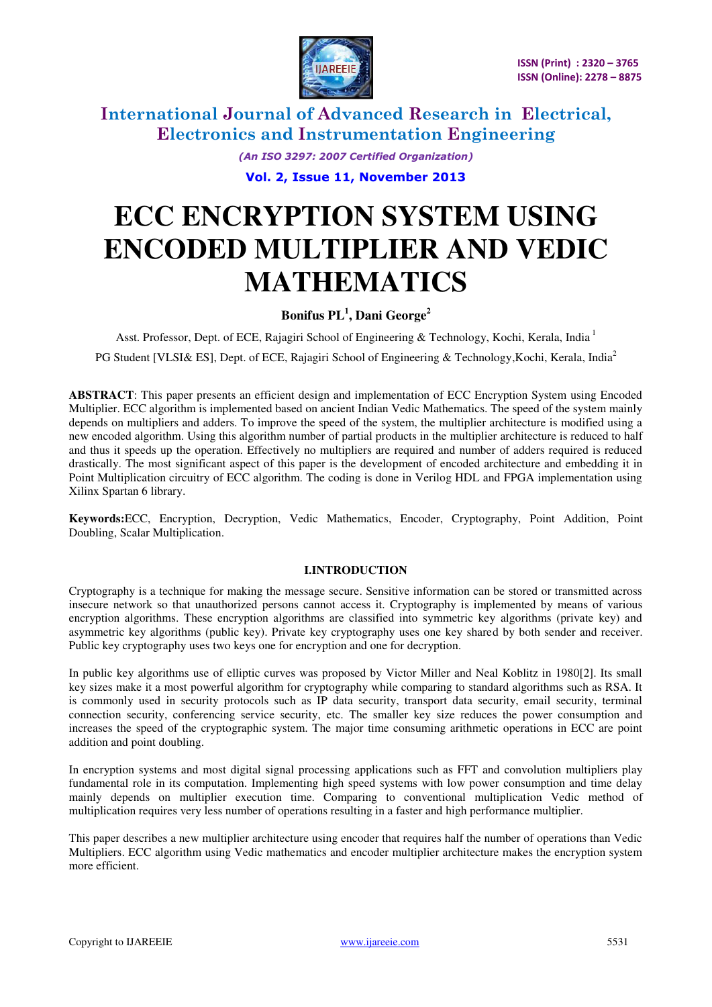

> *(An ISO 3297: 2007 Certified Organization)*  **Vol. 2, Issue 11, November 2013**

# **ECC ENCRYPTION SYSTEM USING ENCODED MULTIPLIER AND VEDIC MATHEMATICS**

### **Bonifus PL<sup>1</sup> , Dani George<sup>2</sup>**

Asst. Professor, Dept. of ECE, Rajagiri School of Engineering & Technology, Kochi, Kerala, India<sup>1</sup> PG Student [VLSI& ES], Dept. of ECE, Rajagiri School of Engineering & Technology, Kochi, Kerala, India<sup>2</sup>

**ABSTRACT**: This paper presents an efficient design and implementation of ECC Encryption System using Encoded Multiplier. ECC algorithm is implemented based on ancient Indian Vedic Mathematics. The speed of the system mainly depends on multipliers and adders. To improve the speed of the system, the multiplier architecture is modified using a new encoded algorithm. Using this algorithm number of partial products in the multiplier architecture is reduced to half and thus it speeds up the operation. Effectively no multipliers are required and number of adders required is reduced drastically. The most significant aspect of this paper is the development of encoded architecture and embedding it in Point Multiplication circuitry of ECC algorithm. The coding is done in Verilog HDL and FPGA implementation using Xilinx Spartan 6 library.

**Keywords:**ECC, Encryption, Decryption, Vedic Mathematics, Encoder, Cryptography, Point Addition, Point Doubling, Scalar Multiplication.

### **I.INTRODUCTION**

Cryptography is a technique for making the message secure. Sensitive information can be stored or transmitted across insecure network so that unauthorized persons cannot access it. Cryptography is implemented by means of various encryption algorithms. These encryption algorithms are classified into symmetric key algorithms (private key) and asymmetric key algorithms (public key). Private key cryptography uses one key shared by both sender and receiver. Public key cryptography uses two keys one for encryption and one for decryption.

In public key algorithms use of elliptic curves was proposed by Victor Miller and Neal Koblitz in 1980[2]. Its small key sizes make it a most powerful algorithm for cryptography while comparing to standard algorithms such as RSA. It is commonly used in security protocols such as IP data security, transport data security, email security, terminal connection security, conferencing service security, etc. The smaller key size reduces the power consumption and increases the speed of the cryptographic system. The major time consuming arithmetic operations in ECC are point addition and point doubling.

In encryption systems and most digital signal processing applications such as FFT and convolution multipliers play fundamental role in its computation. Implementing high speed systems with low power consumption and time delay mainly depends on multiplier execution time. Comparing to conventional multiplication Vedic method of multiplication requires very less number of operations resulting in a faster and high performance multiplier.

This paper describes a new multiplier architecture using encoder that requires half the number of operations than Vedic Multipliers. ECC algorithm using Vedic mathematics and encoder multiplier architecture makes the encryption system more efficient.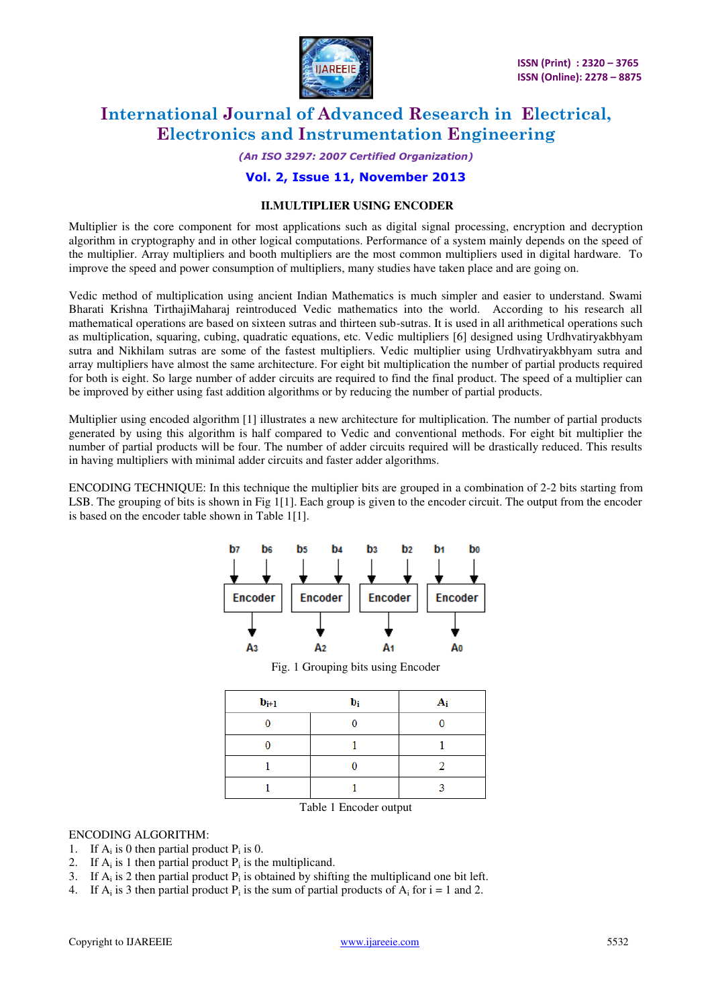

### *(An ISO 3297: 2007 Certified Organization)*

### **Vol. 2, Issue 11, November 2013**

#### **II.MULTIPLIER USING ENCODER**

Multiplier is the core component for most applications such as digital signal processing, encryption and decryption algorithm in cryptography and in other logical computations. Performance of a system mainly depends on the speed of the multiplier. Array multipliers and booth multipliers are the most common multipliers used in digital hardware. To improve the speed and power consumption of multipliers, many studies have taken place and are going on.

Vedic method of multiplication using ancient Indian Mathematics is much simpler and easier to understand. Swami Bharati Krishna TirthajiMaharaj reintroduced Vedic mathematics into the world. According to his research all mathematical operations are based on sixteen sutras and thirteen sub-sutras. It is used in all arithmetical operations such as multiplication, squaring, cubing, quadratic equations, etc. Vedic multipliers [6] designed using Urdhvatiryakbhyam sutra and Nikhilam sutras are some of the fastest multipliers. Vedic multiplier using Urdhvatiryakbhyam sutra and array multipliers have almost the same architecture. For eight bit multiplication the number of partial products required for both is eight. So large number of adder circuits are required to find the final product. The speed of a multiplier can be improved by either using fast addition algorithms or by reducing the number of partial products.

Multiplier using encoded algorithm [1] illustrates a new architecture for multiplication. The number of partial products generated by using this algorithm is half compared to Vedic and conventional methods. For eight bit multiplier the number of partial products will be four. The number of adder circuits required will be drastically reduced. This results in having multipliers with minimal adder circuits and faster adder algorithms.

ENCODING TECHNIQUE: In this technique the multiplier bits are grouped in a combination of 2-2 bits starting from LSB. The grouping of bits is shown in Fig 1[1]. Each group is given to the encoder circuit. The output from the encoder is based on the encoder table shown in Table 1[1].



Fig. 1 Grouping bits using Encoder

| $b_{i+1}$ | bi | Δ. |
|-----------|----|----|
|           |    |    |
|           |    |    |
|           |    |    |
|           |    |    |

Table 1 Encoder output

### ENCODING ALGORITHM:

- 1. If  $A_i$  is 0 then partial product  $P_i$  is 0.
- 2. If  $A_i$  is 1 then partial product  $P_i$  is the multiplicand.
- 3. If  $A_i$  is 2 then partial product  $P_i$  is obtained by shifting the multiplicand one bit left.
- 4. If  $A_i$  is 3 then partial product  $P_i$  is the sum of partial products of  $A_i$  for  $i = 1$  and 2.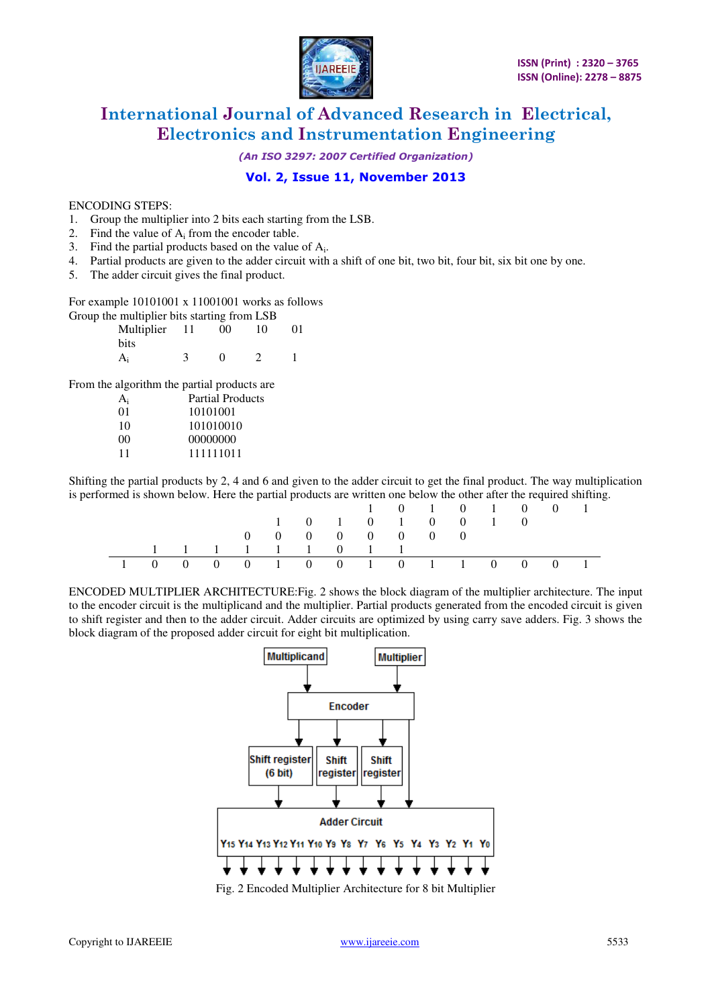

*(An ISO 3297: 2007 Certified Organization)* 

### **Vol. 2, Issue 11, November 2013**

### ENCODING STEPS:

- 1. Group the multiplier into 2 bits each starting from the LSB.
- 2. Find the value of  $A_i$  from the encoder table.
- 3. Find the partial products based on the value of  $A_i$ .
- 4. Partial products are given to the adder circuit with a shift of one bit, two bit, four bit, six bit one by one.
- 5. The adder circuit gives the final product.

#### For example 10101001 x 11001001 works as follows

Group the multiplier bits starting from LSB

| Multiplier | 11 | 00 | 10 | 01 |
|------------|----|----|----|----|
| bits       |    |    |    |    |
| $A_i$      |    | ∩  |    |    |

From the algorithm the partial products are

| $A_i$ | Partial Products |
|-------|------------------|
| 01    | 10101001         |
| 10    | 101010010        |
| 00    | 00000000         |
| 11    | 111111011        |
|       |                  |

Shifting the partial products by 2, 4 and 6 and given to the adder circuit to get the final product. The way multiplication is performed is shown below. Here the partial products are written one below the other after the required shifting.

|                                 |  |                   |  |                                             |  |                 | 1 0 1 0 1 0 | $\overline{0}$ |  |
|---------------------------------|--|-------------------|--|---------------------------------------------|--|-----------------|-------------|----------------|--|
|                                 |  |                   |  |                                             |  | 1 0 1 0 1 0 0 1 |             |                |  |
|                                 |  |                   |  | $0 \quad 0 \quad 0 \quad 0 \quad 0 \quad 0$ |  |                 |             |                |  |
|                                 |  | 1 1 1 1 1 1 0 1 1 |  |                                             |  |                 |             |                |  |
| 1 0 0 0 0 1 0 0 1 0 1 1 0 0 0 1 |  |                   |  |                                             |  |                 |             |                |  |

ENCODED MULTIPLIER ARCHITECTURE:Fig. 2 shows the block diagram of the multiplier architecture. The input to the encoder circuit is the multiplicand and the multiplier. Partial products generated from the encoded circuit is given to shift register and then to the adder circuit. Adder circuits are optimized by using carry save adders. Fig. 3 shows the block diagram of the proposed adder circuit for eight bit multiplication.



Fig. 2 Encoded Multiplier Architecture for 8 bit Multiplier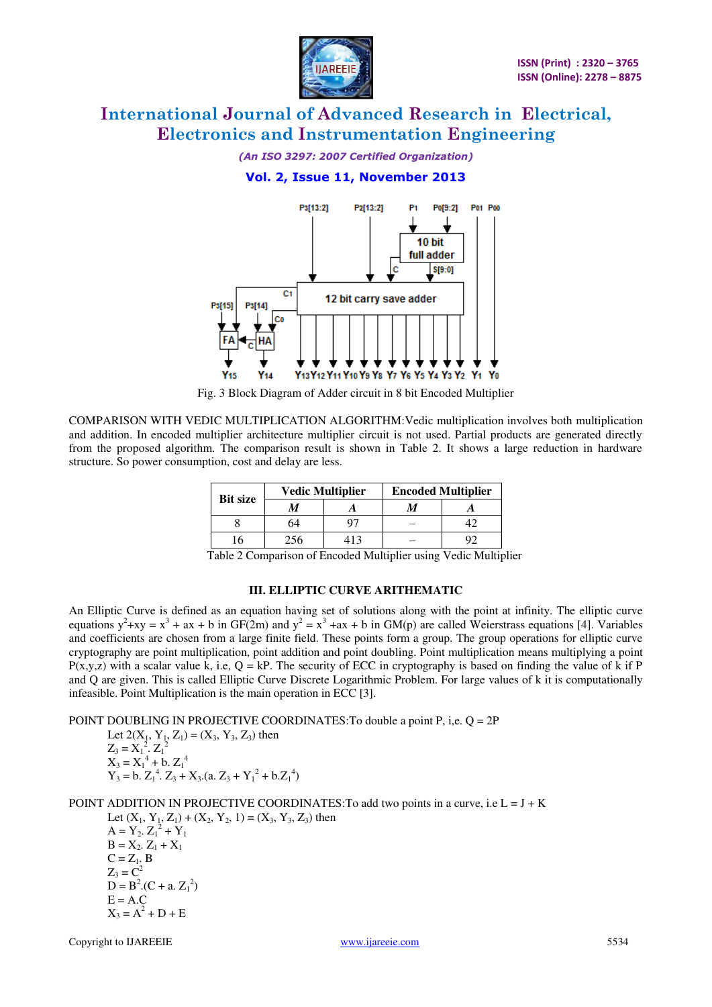

*(An ISO 3297: 2007 Certified Organization)* 

### **Vol. 2, Issue 11, November 2013**



Fig. 3 Block Diagram of Adder circuit in 8 bit Encoded Multiplier

COMPARISON WITH VEDIC MULTIPLICATION ALGORITHM:Vedic multiplication involves both multiplication and addition. In encoded multiplier architecture multiplier circuit is not used. Partial products are generated directly from the proposed algorithm. The comparison result is shown in Table 2. It shows a large reduction in hardware structure. So power consumption, cost and delay are less.

| <b>Bit size</b> |               | <b>Vedic Multiplier</b> | <b>Encoded Multiplier</b> |           |  |  |
|-----------------|---------------|-------------------------|---------------------------|-----------|--|--|
|                 |               |                         |                           |           |  |  |
|                 | 64            |                         |                           |           |  |  |
|                 | 256           |                         |                           |           |  |  |
| - - -<br>- -    | $\sim$ $\sim$ |                         |                           | .<br>$ -$ |  |  |

Table 2 Comparison of Encoded Multiplier using Vedic Multiplier

### **III. ELLIPTIC CURVE ARITHEMATIC**

An Elliptic Curve is defined as an equation having set of solutions along with the point at infinity. The elliptic curve equations  $y^2 + xy = x^3 + ax + b$  in GF(2m) and  $y^2 = x^3 + ax + b$  in GM(p) are called Weierstrass equations [4]. Variables and coefficients are chosen from a large finite field. These points form a group. The group operations for elliptic curve cryptography are point multiplication, point addition and point doubling. Point multiplication means multiplying a point  $P(x,y,z)$  with a scalar value k, i.e,  $Q = kP$ . The security of ECC in cryptography is based on finding the value of k if P and Q are given. This is called Elliptic Curve Discrete Logarithmic Problem. For large values of k it is computationally infeasible. Point Multiplication is the main operation in ECC [3].

POINT DOUBLING IN PROJECTIVE COORDINATES:To double a point P, i,e. Q = 2P

Let 
$$
2(X_1, Y_1, Z_1) = (X_3, Y_3, Z_3)
$$
 then  
\n $Z_3 = X_1^2 \cdot Z_1^2$   
\n $X_3 = X_1^4 + b \cdot Z_1^4$   
\n $Y_3 = b \cdot Z_1^4 \cdot Z_3 + X_3$ . (a.  $Z_3 + Y_1^2 + b \cdot Z_1^4$ )

POINT ADDITION IN PROJECTIVE COORDINATES: To add two points in a curve, i.e  $L = J + K$ 

Let  $(X_1, Y_1, Z_1) + (X_2, Y_2, 1) = (X_3, Y_3, Z_3)$  then  $A = Y_2$ ,  $Z_1^2 + Y_1$  $B = X_2 \cdot Z_1 + X_1$  $C = Z<sub>1</sub>$ . B  $Z_3 = C^2$  $D = B^2 (C + a Z_1^2)$  $E = A.C$  $X_3 = A^2 + D + E$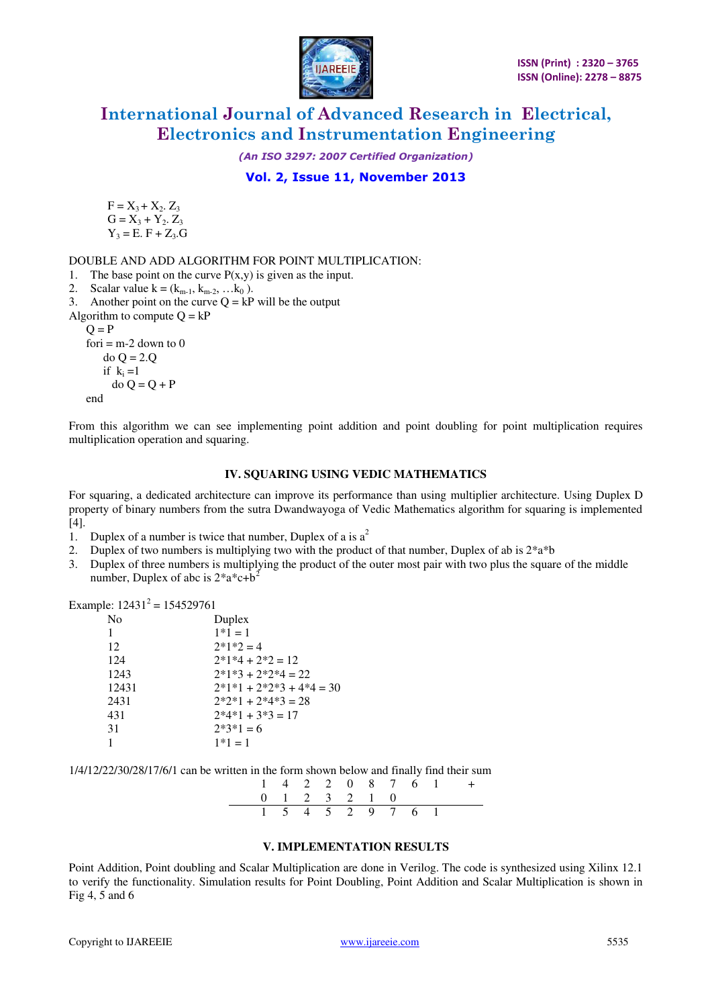

*(An ISO 3297: 2007 Certified Organization)* 

**Vol. 2, Issue 11, November 2013** 

 $F = X_3 + X_2$ ,  $Z_3$  $G = X_3 + Y_2 Z_3$  $Y_3 = E. F + Z_3. G$ 

DOUBLE AND ADD ALGORITHM FOR POINT MULTIPLICATION:

1. The base point on the curve  $P(x,y)$  is given as the input.

```
2. Scalar value k = (k_{m-1}, k_{m-2}, ... k_0).
```
3. Another point on the curve  $Q = kP$  will be the output

Algorithm to compute  $Q = kP$ 

 $Q = P$ 

fori  $=$  m-2 down to 0 do Q = 2.Q if  $k_i = 1$  do Q = Q + P end

From this algorithm we can see implementing point addition and point doubling for point multiplication requires multiplication operation and squaring.

### **IV. SQUARING USING VEDIC MATHEMATICS**

For squaring, a dedicated architecture can improve its performance than using multiplier architecture. Using Duplex D property of binary numbers from the sutra Dwandwayoga of Vedic Mathematics algorithm for squaring is implemented [4].

- 1. Duplex of a number is twice that number, Duplex of a is  $a^2$
- 2. Duplex of two numbers is multiplying two with the product of that number, Duplex of ab is  $2^*a^*b$
- 3. Duplex of three numbers is multiplying the product of the outer most pair with two plus the square of the middle number, Duplex of abc is  $2^*a^*c+b^2$

Example:  $12431^2 = 154529761$ 

| Duplex                     |
|----------------------------|
| $1*1 = 1$                  |
| $2*1*2=4$                  |
| $2*1*4 + 2*2 = 12$         |
| $2*1*3 + 2*2*4 = 22$       |
| $2*1*1 + 2*2*3 + 4*4 = 30$ |
| $2*2*1 + 2*4*3 = 28$       |
| $2*4*1 + 3*3 = 17$         |
| $2*3*1=6$                  |
| $1*1 = 1$                  |
|                            |

1/4/12/22/30/28/17/6/1 can be written in the form shown below and finally find their sum

|  |               |  |                   |  | $1 \t4 \t2 \t2 \t0 \t8 \t7 \t6 \t1 +$ |
|--|---------------|--|-------------------|--|---------------------------------------|
|  | 0 1 2 3 2 1 0 |  |                   |  |                                       |
|  |               |  | 1 5 4 5 2 9 7 6 1 |  |                                       |

### **V. IMPLEMENTATION RESULTS**

Point Addition, Point doubling and Scalar Multiplication are done in Verilog. The code is synthesized using Xilinx 12.1 to verify the functionality. Simulation results for Point Doubling, Point Addition and Scalar Multiplication is shown in Fig 4, 5 and 6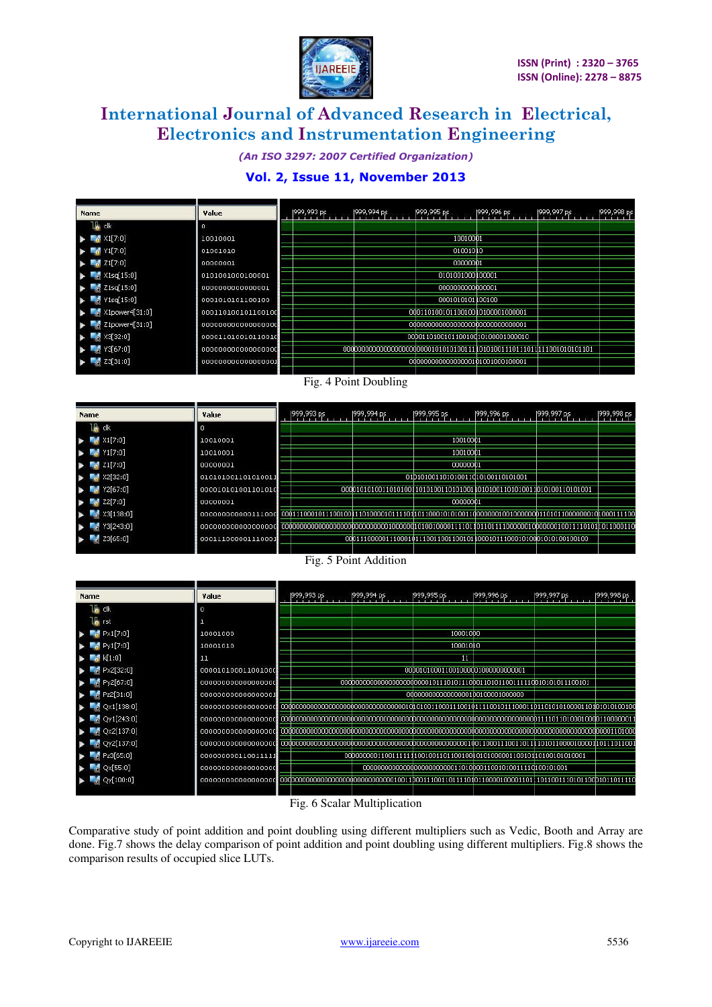

*(An ISO 3297: 2007 Certified Organization)* 

### **Vol. 2, Issue 11, November 2013**

| <b>Name</b>                                            | Value              | 1999, 993 ps | 999,994 ps | 1999,995 ps                        | [999,996 ps] | 1999,997 ps | 1999,998 ps |
|--------------------------------------------------------|--------------------|--------------|------------|------------------------------------|--------------|-------------|-------------|
| 1Ma dk                                                 | $\sigma$           |              |            |                                    |              |             |             |
| $\frac{1}{2}$ X1[7:0]                                  | 10010001           |              |            | 10010001                           |              |             |             |
| $M$ Y1[7:0]                                            | 01001010           |              |            | 01001010                           |              |             |             |
| $\blacksquare$ 21[7:0]                                 | 00000001           |              |            | 00000001                           |              |             |             |
| X1sq[15:0]                                             | 0101001000100001   |              |            | 0101001000100001                   |              |             |             |
| $\triangleright$ $\blacksquare$ $\triangle$ Z1sq[15:0] | 0000000000000001   |              |            | 0000000000000001                   |              |             |             |
| $\blacktriangleright$ $\blacktriangleright$ Y1sq[15:0] | 0001010101100100   |              |            | 0001010101100100                   |              |             |             |
| $\sim$ X1power4[31:0]                                  | 000110100101100100 |              |            | 00011010010110010010100001000001   |              |             |             |
| $21$ power4[31:0]                                      | 000000000000000000 |              |            |                                    |              |             |             |
| X3[32:0]<br><b>Contract Contract</b>                   | 000011010010110010 |              |            | 0000110100101100100101000001000010 |              |             |             |
| Y3[67:0]                                               | 000000000000000000 |              |            |                                    |              |             |             |
| 23[31:0]                                               | 000000000000000000 |              |            | 000000000000000000101001000100001  |              |             |             |

### Fig. 4 Point Doubling

| <b>Name</b>                 | Value              | 1999, 993 ps | [999,994 ps] | 1999, 995 ps                      | 1999,996 ps | 1999, 997 ps | 1999,998 ps |
|-----------------------------|--------------------|--------------|--------------|-----------------------------------|-------------|--------------|-------------|
| I.<br>clk                   | o                  |              |              |                                   |             |              |             |
| X1[7:0]                     | 10010001           |              |              | 10010001                          |             |              |             |
| Y1[7:0]                     | 10010001           |              |              | 10010001                          |             |              |             |
| Z1[7:0]                     | 00000001           |              |              | 00000001                          |             |              |             |
| X2[32:0]                    | 010101001101010011 |              |              | 01D101001101010011d10100110101001 |             |              |             |
| Y2[67:0]                    | 000010101001101010 |              |              |                                   |             |              |             |
| Z2[7:0]                     | 00000001           |              |              | 00000001                          |             |              |             |
| X3[138:0]<br><b>Card</b>    | 000000000000111000 |              |              |                                   |             |              |             |
| Y3[243:0]<br><b>Section</b> | 000000000000000000 |              |              |                                   |             |              |             |
| 23[65:0]                    | 000111000001110001 |              |              |                                   |             |              |             |
|                             |                    |              |              |                                   |             |              |             |

### Fig. 5 Point Addition

| Name                   | Value                  | 1999,993 ps | [999,994 ps] | 1999,995 ps                        | 1999,996 ps | 1999,997 ps | 1999,998 ps |
|------------------------|------------------------|-------------|--------------|------------------------------------|-------------|-------------|-------------|
| ck                     | $\circ$                |             |              |                                    |             |             |             |
| <b>In</b> rst          |                        |             |              |                                    |             |             |             |
| $R_0$ Px1[7:0]         | 10001000               |             |              | 10001000                           |             |             |             |
| $\frac{1}{2}$ Py1[7:0] | 10001010               |             |              | 10001010                           |             |             |             |
| k[1:0]                 | 11                     |             |              | 11                                 |             |             |             |
| Px2[32:0]              | 000010100011001000     |             |              | 0000101000110010000010000000000001 |             |             |             |
| $P_{Y2}[67:0]$         | 000000000000000000     |             |              |                                    |             |             |             |
| Pz2[31:0]              | 0000000000000000000000 |             |              | 000000000000000000100100001000000  |             |             |             |
| $\sim$ Qx1[138:0]      |                        |             |              |                                    |             |             |             |
| Qy1[243:0]             |                        |             |              |                                    |             |             |             |
| Qx2[137:0]             |                        |             |              |                                    |             |             |             |
| $\sim$ Qy2[137:0]      |                        |             |              |                                    |             |             |             |
| $P_{z}$ Pz3[65:0]      | 00000000011001111      |             |              |                                    |             |             |             |
| $\sim$ Qx[55:0]        |                        |             |              |                                    |             |             |             |
| Qy[100:0]              |                        |             |              |                                    |             |             |             |
|                        |                        |             |              |                                    |             |             |             |

#### Fig. 6 Scalar Multiplication

Comparative study of point addition and point doubling using different multipliers such as Vedic, Booth and Array are done. Fig.7 shows the delay comparison of point addition and point doubling using different multipliers. Fig.8 shows the comparison results of occupied slice LUTs.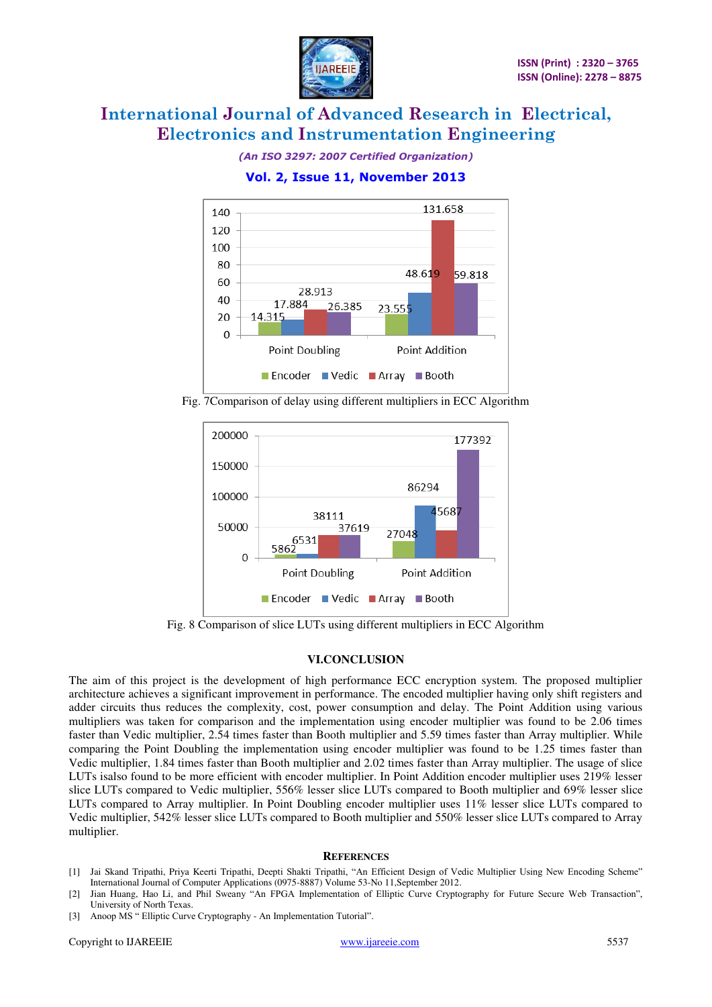

*(An ISO 3297: 2007 Certified Organization)* 

**Vol. 2, Issue 11, November 2013** 



Fig. 7Comparison of delay using different multipliers in ECC Algorithm



Fig. 8 Comparison of slice LUTs using different multipliers in ECC Algorithm

### **VI.CONCLUSION**

The aim of this project is the development of high performance ECC encryption system. The proposed multiplier architecture achieves a significant improvement in performance. The encoded multiplier having only shift registers and adder circuits thus reduces the complexity, cost, power consumption and delay. The Point Addition using various multipliers was taken for comparison and the implementation using encoder multiplier was found to be 2.06 times faster than Vedic multiplier, 2.54 times faster than Booth multiplier and 5.59 times faster than Array multiplier. While comparing the Point Doubling the implementation using encoder multiplier was found to be 1.25 times faster than Vedic multiplier, 1.84 times faster than Booth multiplier and 2.02 times faster than Array multiplier. The usage of slice LUTs isalso found to be more efficient with encoder multiplier. In Point Addition encoder multiplier uses 219% lesser slice LUTs compared to Vedic multiplier, 556% lesser slice LUTs compared to Booth multiplier and 69% lesser slice LUTs compared to Array multiplier. In Point Doubling encoder multiplier uses 11% lesser slice LUTs compared to Vedic multiplier, 542% lesser slice LUTs compared to Booth multiplier and 550% lesser slice LUTs compared to Array multiplier.

### **REFERENCES**

- [1] Jai Skand Tripathi, Priya Keerti Tripathi, Deepti Shakti Tripathi, "An Efficient Design of Vedic Multiplier Using New Encoding Scheme" International Journal of Computer Applications (0975-8887) Volume 53-No 11,September 2012.
- [2] Jian Huang, Hao Li, and Phil Sweany "An FPGA Implementation of Elliptic Curve Cryptography for Future Secure Web Transaction", University of North Texas.
- [3] Anoop MS " Elliptic Curve Cryptography An Implementation Tutorial".